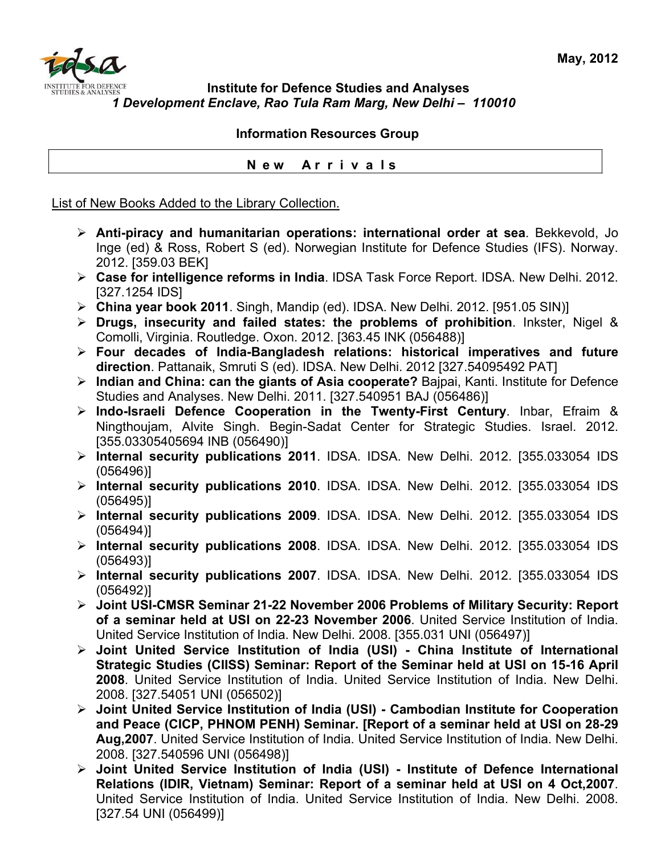## **Institute for Defence Studies and Analyses** *1 Development Enclave, Rao Tula Ram Marg, New Delhi – 110010*

## **Information Resources Group**

## **N e w A r r i v a l s**

List of New Books Added to the Library Collection.

- ¾ **Anti-piracy and humanitarian operations: international order at sea**. Bekkevold, Jo Inge (ed) & Ross, Robert S (ed). Norwegian Institute for Defence Studies (IFS). Norway. 2012. [359.03 BEK]
- ¾ **Case for intelligence reforms in India**. IDSA Task Force Report. IDSA. New Delhi. 2012. [327.1254 IDS]
- ¾ **China year book 2011**. Singh, Mandip (ed). IDSA. New Delhi. 2012. [951.05 SIN)]
- ¾ **Drugs, insecurity and failed states: the problems of prohibition**. Inkster, Nigel & Comolli, Virginia. Routledge. Oxon. 2012. [363.45 INK (056488)]
- ¾ **Four decades of India-Bangladesh relations: historical imperatives and future direction**. Pattanaik, Smruti S (ed). IDSA. New Delhi. 2012 [327.54095492 PAT]
- ¾ **Indian and China: can the giants of Asia cooperate?** Bajpai, Kanti. Institute for Defence Studies and Analyses. New Delhi. 2011. [327.540951 BAJ (056486)]
- ¾ **Indo-Israeli Defence Cooperation in the Twenty-First Century**. Inbar, Efraim & Ningthoujam, Alvite Singh. Begin-Sadat Center for Strategic Studies. Israel. 2012. [355.03305405694 INB (056490)]
- ¾ **Internal security publications 2011**. IDSA. IDSA. New Delhi. 2012. [355.033054 IDS (056496)]
- ¾ **Internal security publications 2010**. IDSA. IDSA. New Delhi. 2012. [355.033054 IDS (056495)]
- ¾ **Internal security publications 2009**. IDSA. IDSA. New Delhi. 2012. [355.033054 IDS (056494)]
- ¾ **Internal security publications 2008**. IDSA. IDSA. New Delhi. 2012. [355.033054 IDS (056493)]
- ¾ **Internal security publications 2007**. IDSA. IDSA. New Delhi. 2012. [355.033054 IDS (056492)]
- ¾ **Joint USI-CMSR Seminar 21-22 November 2006 Problems of Military Security: Report of a seminar held at USI on 22-23 November 2006**. United Service Institution of India. United Service Institution of India. New Delhi. 2008. [355.031 UNI (056497)]
- ¾ **Joint United Service Institution of India (USI) China Institute of International Strategic Studies (CIISS) Seminar: Report of the Seminar held at USI on 15-16 April 2008**. United Service Institution of India. United Service Institution of India. New Delhi. 2008. [327.54051 UNI (056502)]
- ¾ **Joint United Service Institution of India (USI) Cambodian Institute for Cooperation and Peace (CICP, PHNOM PENH) Seminar. [Report of a seminar held at USI on 28-29 Aug,2007**. United Service Institution of India. United Service Institution of India. New Delhi. 2008. [327.540596 UNI (056498)]
- ¾ **Joint United Service Institution of India (USI) Institute of Defence International Relations (IDIR, Vietnam) Seminar: Report of a seminar held at USI on 4 Oct,2007**. United Service Institution of India. United Service Institution of India. New Delhi. 2008. [327.54 UNI (056499)]